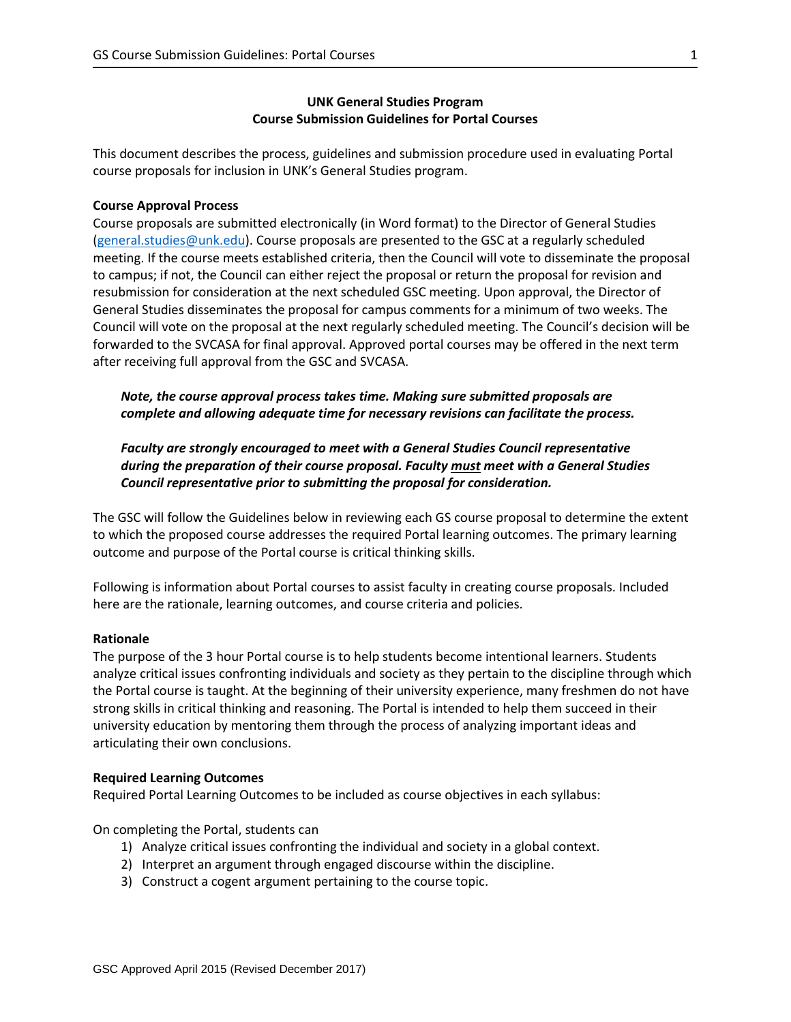## **UNK General Studies Program Course Submission Guidelines for Portal Courses**

This document describes the process, guidelines and submission procedure used in evaluating Portal course proposals for inclusion in UNK's General Studies program.

## **Course Approval Process**

Course proposals are submitted electronically (in Word format) to the Director of General Studies [\(general.studies@unk.edu\)](mailto:general.studies@unk.edu). Course proposals are presented to the GSC at a regularly scheduled meeting. If the course meets established criteria, then the Council will vote to disseminate the proposal to campus; if not, the Council can either reject the proposal or return the proposal for revision and resubmission for consideration at the next scheduled GSC meeting. Upon approval, the Director of General Studies disseminates the proposal for campus comments for a minimum of two weeks. The Council will vote on the proposal at the next regularly scheduled meeting. The Council's decision will be forwarded to the SVCASA for final approval. Approved portal courses may be offered in the next term after receiving full approval from the GSC and SVCASA.

*Note, the course approval process takes time. Making sure submitted proposals are complete and allowing adequate time for necessary revisions can facilitate the process.*

*Faculty are strongly encouraged to meet with a General Studies Council representative during the preparation of their course proposal. Faculty must meet with a General Studies Council representative prior to submitting the proposal for consideration.*

The GSC will follow the Guidelines below in reviewing each GS course proposal to determine the extent to which the proposed course addresses the required Portal learning outcomes. The primary learning outcome and purpose of the Portal course is critical thinking skills.

Following is information about Portal courses to assist faculty in creating course proposals. Included here are the rationale, learning outcomes, and course criteria and policies.

## **Rationale**

The purpose of the 3 hour Portal course is to help students become intentional learners. Students analyze critical issues confronting individuals and society as they pertain to the discipline through which the Portal course is taught. At the beginning of their university experience, many freshmen do not have strong skills in critical thinking and reasoning. The Portal is intended to help them succeed in their university education by mentoring them through the process of analyzing important ideas and articulating their own conclusions.

## **Required Learning Outcomes**

Required Portal Learning Outcomes to be included as course objectives in each syllabus:

On completing the Portal, students can

- 1) Analyze critical issues confronting the individual and society in a global context.
- 2) Interpret an argument through engaged discourse within the discipline.
- 3) Construct a cogent argument pertaining to the course topic.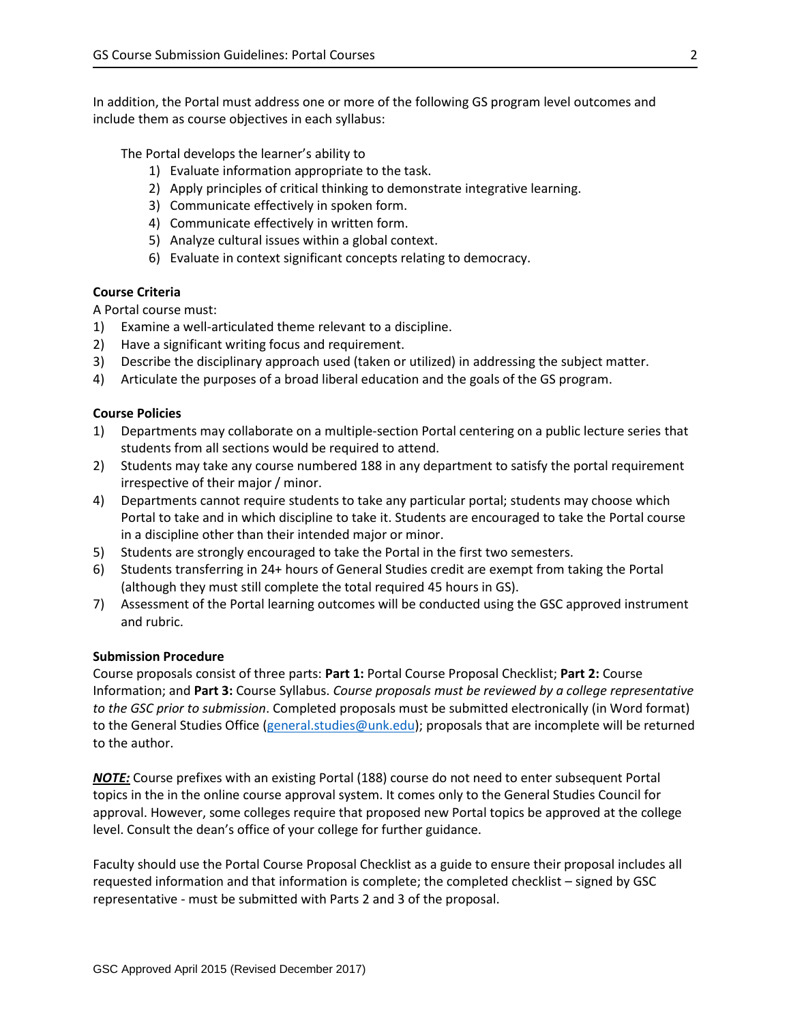In addition, the Portal must address one or more of the following GS program level outcomes and include them as course objectives in each syllabus:

The Portal develops the learner's ability to

- 1) Evaluate information appropriate to the task.
- 2) Apply principles of critical thinking to demonstrate integrative learning.
- 3) Communicate effectively in spoken form.
- 4) Communicate effectively in written form.
- 5) Analyze cultural issues within a global context.
- 6) Evaluate in context significant concepts relating to democracy.

## **Course Criteria**

A Portal course must:

- 1) Examine a well-articulated theme relevant to a discipline.
- 2) Have a significant writing focus and requirement.
- 3) Describe the disciplinary approach used (taken or utilized) in addressing the subject matter.
- 4) Articulate the purposes of a broad liberal education and the goals of the GS program.

### **Course Policies**

- 1) Departments may collaborate on a multiple‐section Portal centering on a public lecture series that students from all sections would be required to attend.
- 2) Students may take any course numbered 188 in any department to satisfy the portal requirement irrespective of their major / minor.
- 4) Departments cannot require students to take any particular portal; students may choose which Portal to take and in which discipline to take it. Students are encouraged to take the Portal course in a discipline other than their intended major or minor.
- 5) Students are strongly encouraged to take the Portal in the first two semesters.
- 6) Students transferring in 24+ hours of General Studies credit are exempt from taking the Portal (although they must still complete the total required 45 hours in GS).
- 7) Assessment of the Portal learning outcomes will be conducted using the GSC approved instrument and rubric.

#### **Submission Procedure**

Course proposals consist of three parts: **Part 1:** Portal Course Proposal Checklist; **Part 2:** Course Information; and **Part 3:** Course Syllabus. *Course proposals must be reviewed by a college representative to the GSC prior to submission*. Completed proposals must be submitted electronically (in Word format) to the General Studies Office [\(general.studies@unk.edu\)](mailto:general.studies@unk.edu); proposals that are incomplete will be returned to the author.

*NOTE:* Course prefixes with an existing Portal (188) course do not need to enter subsequent Portal topics in the in the online course approval system. It comes only to the General Studies Council for approval. However, some colleges require that proposed new Portal topics be approved at the college level. Consult the dean's office of your college for further guidance.

Faculty should use the Portal Course Proposal Checklist as a guide to ensure their proposal includes all requested information and that information is complete; the completed checklist – signed by GSC representative - must be submitted with Parts 2 and 3 of the proposal.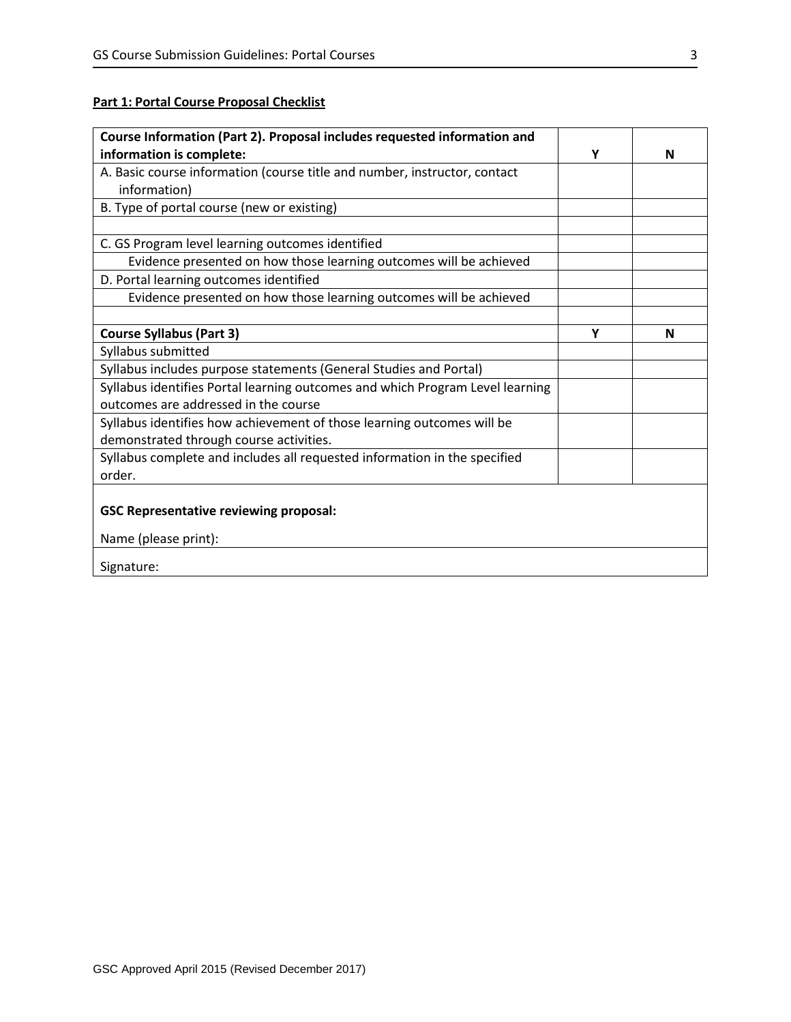# **Part 1: Portal Course Proposal Checklist**

| Course Information (Part 2). Proposal includes requested information and      |   |   |
|-------------------------------------------------------------------------------|---|---|
| information is complete:                                                      | Υ | N |
| A. Basic course information (course title and number, instructor, contact     |   |   |
| information)                                                                  |   |   |
| B. Type of portal course (new or existing)                                    |   |   |
|                                                                               |   |   |
| C. GS Program level learning outcomes identified                              |   |   |
| Evidence presented on how those learning outcomes will be achieved            |   |   |
| D. Portal learning outcomes identified                                        |   |   |
| Evidence presented on how those learning outcomes will be achieved            |   |   |
|                                                                               |   |   |
| <b>Course Syllabus (Part 3)</b>                                               | Υ | N |
| Syllabus submitted                                                            |   |   |
| Syllabus includes purpose statements (General Studies and Portal)             |   |   |
| Syllabus identifies Portal learning outcomes and which Program Level learning |   |   |
| outcomes are addressed in the course                                          |   |   |
| Syllabus identifies how achievement of those learning outcomes will be        |   |   |
| demonstrated through course activities.                                       |   |   |
| Syllabus complete and includes all requested information in the specified     |   |   |
| order.                                                                        |   |   |
|                                                                               |   |   |
| <b>GSC Representative reviewing proposal:</b>                                 |   |   |
| Name (please print):                                                          |   |   |
| Signature:                                                                    |   |   |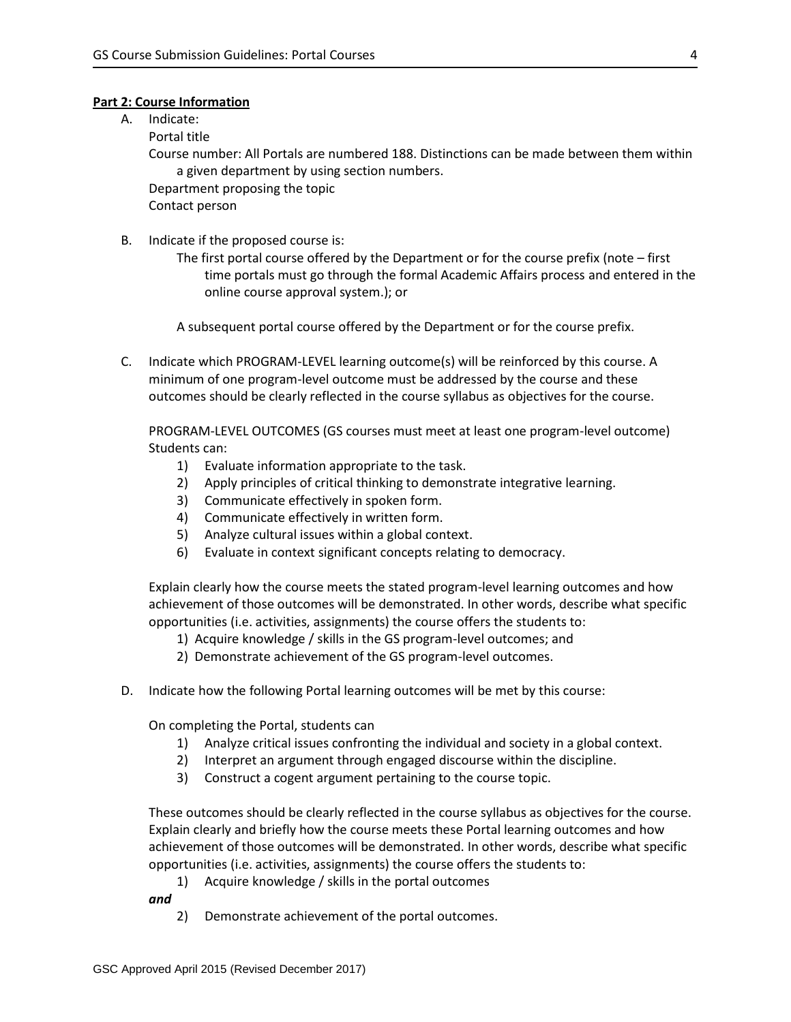### **Part 2: Course Information**

A. Indicate:

Portal title

Course number: All Portals are numbered 188. Distinctions can be made between them within a given department by using section numbers.

Department proposing the topic

Contact person

- B. Indicate if the proposed course is:
	- The first portal course offered by the Department or for the course prefix (note first time portals must go through the formal Academic Affairs process and entered in the online course approval system.); or

A subsequent portal course offered by the Department or for the course prefix.

C. Indicate which PROGRAM-LEVEL learning outcome(s) will be reinforced by this course. A minimum of one program-level outcome must be addressed by the course and these outcomes should be clearly reflected in the course syllabus as objectives for the course.

PROGRAM-LEVEL OUTCOMES (GS courses must meet at least one program-level outcome) Students can:

- 1) Evaluate information appropriate to the task.
- 2) Apply principles of critical thinking to demonstrate integrative learning.
- 3) Communicate effectively in spoken form.
- 4) Communicate effectively in written form.
- 5) Analyze cultural issues within a global context.
- 6) Evaluate in context significant concepts relating to democracy.

Explain clearly how the course meets the stated program-level learning outcomes and how achievement of those outcomes will be demonstrated. In other words, describe what specific opportunities (i.e. activities, assignments) the course offers the students to:

- 1) Acquire knowledge / skills in the GS program-level outcomes; and
- 2) Demonstrate achievement of the GS program-level outcomes.
- D. Indicate how the following Portal learning outcomes will be met by this course:

On completing the Portal, students can

- 1) Analyze critical issues confronting the individual and society in a global context.
- 2) Interpret an argument through engaged discourse within the discipline.
- 3) Construct a cogent argument pertaining to the course topic.

These outcomes should be clearly reflected in the course syllabus as objectives for the course. Explain clearly and briefly how the course meets these Portal learning outcomes and how achievement of those outcomes will be demonstrated. In other words, describe what specific opportunities (i.e. activities, assignments) the course offers the students to:

1) Acquire knowledge / skills in the portal outcomes

*and* 

2) Demonstrate achievement of the portal outcomes.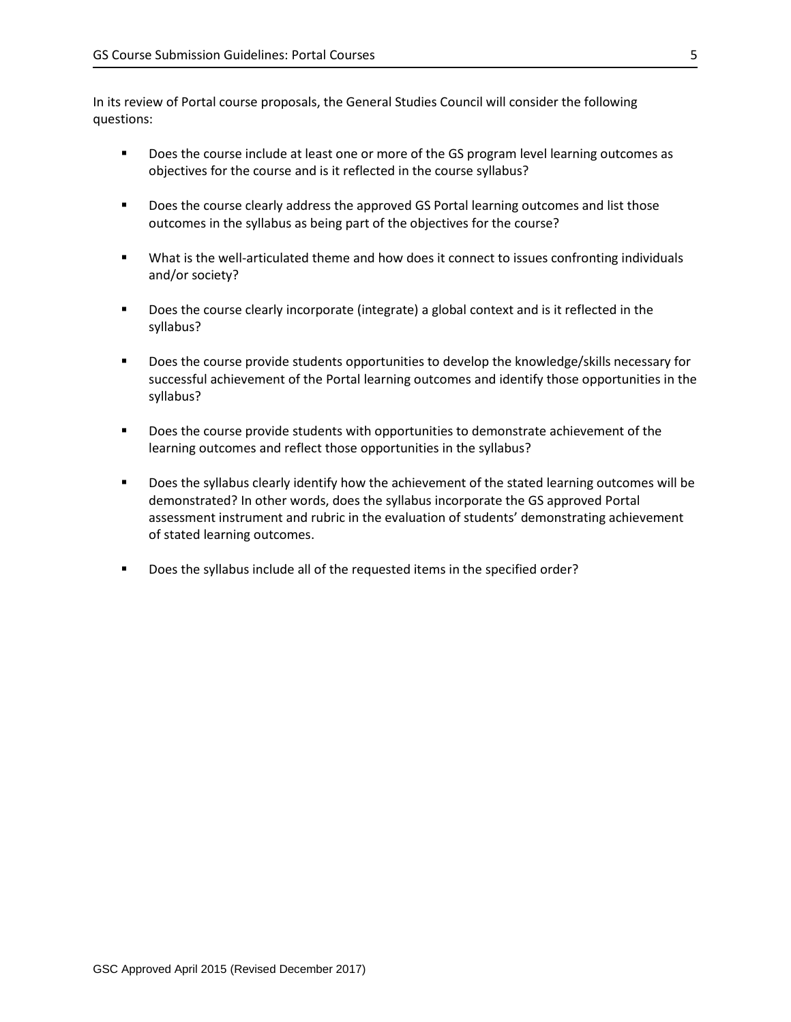In its review of Portal course proposals, the General Studies Council will consider the following questions:

- **Does the course include at least one or more of the GS program level learning outcomes as** objectives for the course and is it reflected in the course syllabus?
- **Does the course clearly address the approved GS Portal learning outcomes and list those** outcomes in the syllabus as being part of the objectives for the course?
- What is the well-articulated theme and how does it connect to issues confronting individuals and/or society?
- **Does the course clearly incorporate (integrate) a global context and is it reflected in the** syllabus?
- Does the course provide students opportunities to develop the knowledge/skills necessary for successful achievement of the Portal learning outcomes and identify those opportunities in the syllabus?
- **Does the course provide students with opportunities to demonstrate achievement of the** learning outcomes and reflect those opportunities in the syllabus?
- **Does the syllabus clearly identify how the achievement of the stated learning outcomes will be** demonstrated? In other words, does the syllabus incorporate the GS approved Portal assessment instrument and rubric in the evaluation of students' demonstrating achievement of stated learning outcomes.
- Does the syllabus include all of the requested items in the specified order?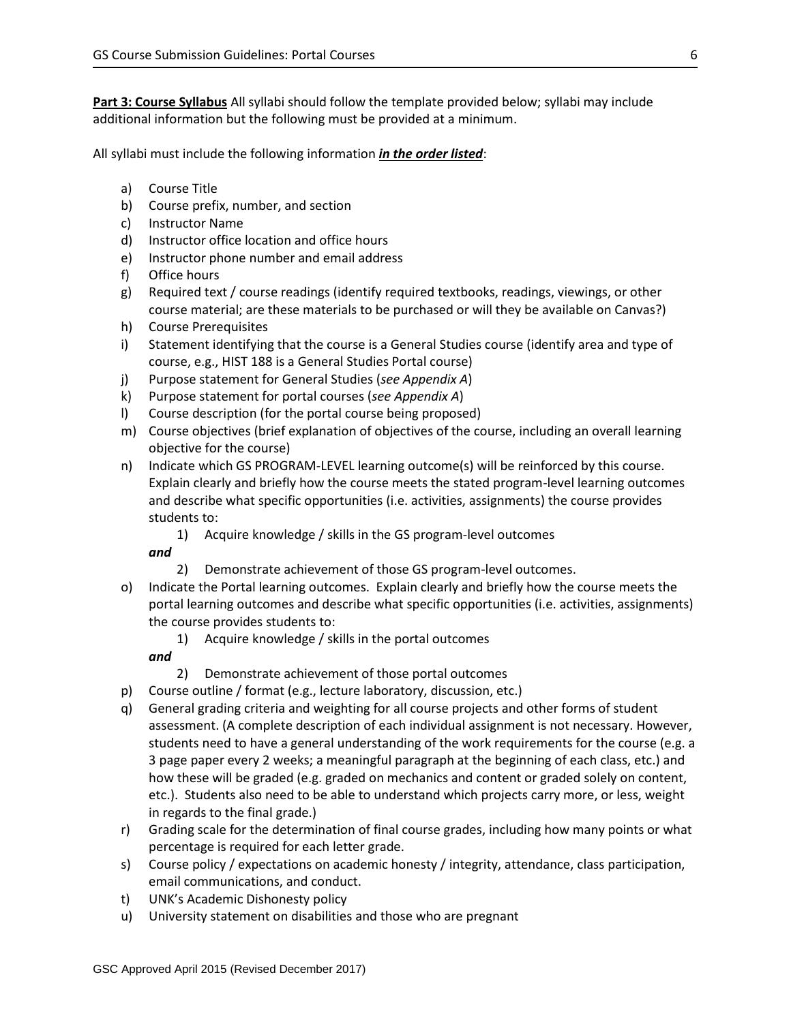**Part 3: Course Syllabus** All syllabi should follow the template provided below; syllabi may include additional information but the following must be provided at a minimum.

All syllabi must include the following information *in the order listed*:

- a) Course Title
- b) Course prefix, number, and section
- c) Instructor Name
- d) Instructor office location and office hours
- e) Instructor phone number and email address
- f) Office hours
- g) Required text / course readings (identify required textbooks, readings, viewings, or other course material; are these materials to be purchased or will they be available on Canvas?)
- h) Course Prerequisites
- i) Statement identifying that the course is a General Studies course (identify area and type of course, e.g., HIST 188 is a General Studies Portal course)
- j) Purpose statement for General Studies (*see Appendix A*)
- k) Purpose statement for portal courses (*see Appendix A*)
- l) Course description (for the portal course being proposed)
- m) Course objectives (brief explanation of objectives of the course, including an overall learning objective for the course)
- n) Indicate which GS PROGRAM-LEVEL learning outcome(s) will be reinforced by this course. Explain clearly and briefly how the course meets the stated program-level learning outcomes and describe what specific opportunities (i.e. activities, assignments) the course provides students to:
	- 1) Acquire knowledge / skills in the GS program-level outcomes

## *and*

- 2) Demonstrate achievement of those GS program-level outcomes.
- o) Indicate the Portal learning outcomes. Explain clearly and briefly how the course meets the portal learning outcomes and describe what specific opportunities (i.e. activities, assignments) the course provides students to:
	- 1) Acquire knowledge / skills in the portal outcomes

## *and*

- 2) Demonstrate achievement of those portal outcomes
- p) Course outline / format (e.g., lecture laboratory, discussion, etc.)
- q) General grading criteria and weighting for all course projects and other forms of student assessment. (A complete description of each individual assignment is not necessary. However, students need to have a general understanding of the work requirements for the course (e.g. a 3 page paper every 2 weeks; a meaningful paragraph at the beginning of each class, etc.) and how these will be graded (e.g. graded on mechanics and content or graded solely on content, etc.). Students also need to be able to understand which projects carry more, or less, weight in regards to the final grade.)
- r) Grading scale for the determination of final course grades, including how many points or what percentage is required for each letter grade.
- s) Course policy / expectations on academic honesty / integrity, attendance, class participation, email communications, and conduct.
- t) UNK's Academic Dishonesty policy
- u) University statement on disabilities and those who are pregnant